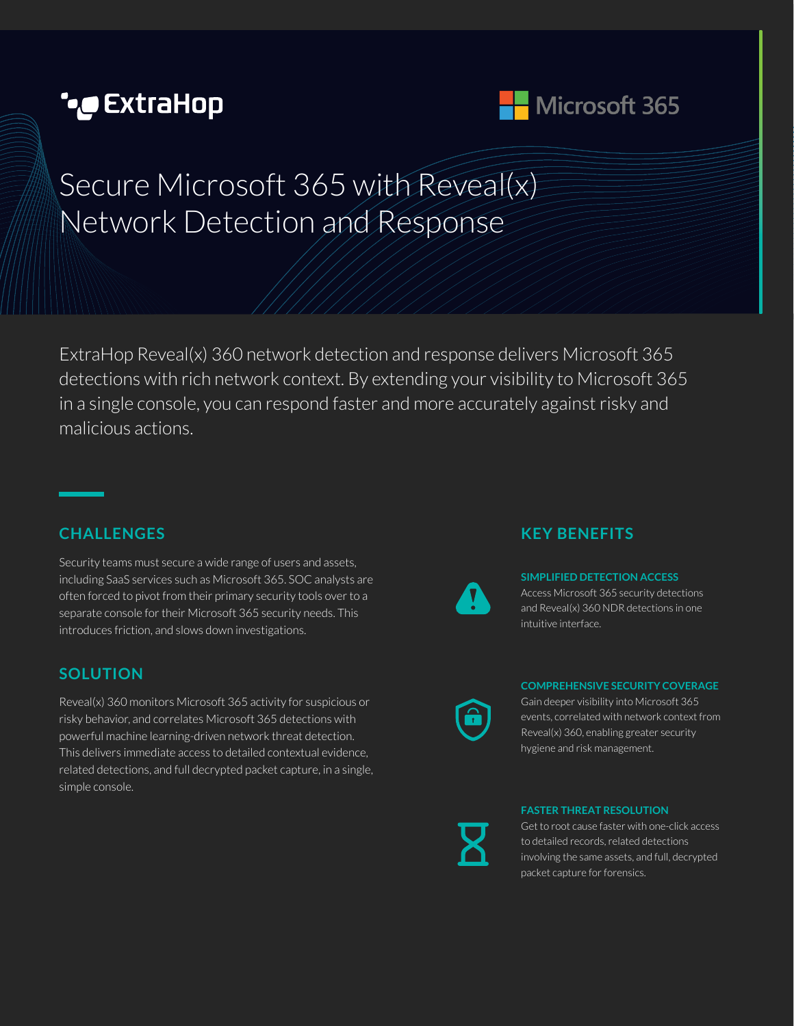# **CxtraHop** هو



# Secure Microsoft 365 with Reveal(x) Network Detection and Response

ExtraHop Reveal(x) 360 network detection and response delivers Microsoft 365 detections with rich network context. By extending your visibility to Microsoft 365 in a single console, you can respond faster and more accurately against risky and malicious actions.

## **CHALLENGES**

Security teams must secure a wide range of users and assets, including SaaS services such as Microsoft 365. SOC analysts are often forced to pivot from their primary security tools over to a separate console for their Microsoft 365 security needs. This introduces friction, and slows down investigations.

### **SOLUTION**

Reveal(x) 360 monitors Microsoft 365 activity for suspicious or risky behavior, and correlates Microsoft 365 detections with powerful machine learning-driven network threat detection. This delivers immediate access to detailed contextual evidence, related detections, and full decrypted packet capture, in a single, simple console.

## **KEY BENEFITS**



#### **SIMPLIFIED DETECTION ACCESS**

Access Microsoft 365 security detections and Reveal(x) 360 NDR detections in one intuitive interface.

#### **COMPREHENSIVE SECURITY COVERAGE**

Gain deeper visibility into Microsoft 365 events, correlated with network context from Reveal(x) 360, enabling greater security hygiene and risk management.

#### **FASTER THREAT RESOLUTION**

Get to root cause faster with one-click access to detailed records, related detections involving the same assets, and full, decrypted packet capture for forensics.